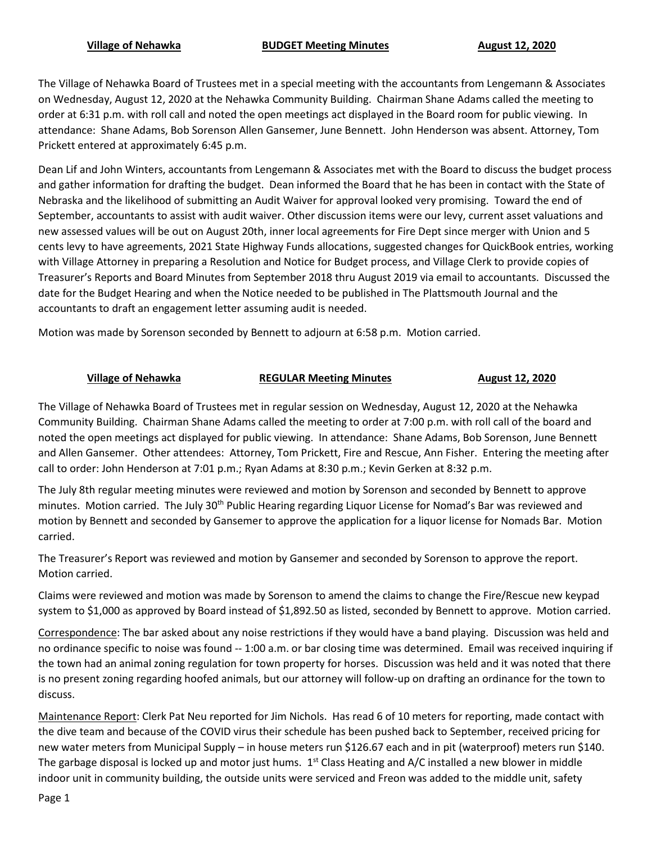## **Village of Nehawka BUDGET Meeting Minutes August 12, 2020**

The Village of Nehawka Board of Trustees met in a special meeting with the accountants from Lengemann & Associates on Wednesday, August 12, 2020 at the Nehawka Community Building. Chairman Shane Adams called the meeting to order at 6:31 p.m. with roll call and noted the open meetings act displayed in the Board room for public viewing. In attendance: Shane Adams, Bob Sorenson Allen Gansemer, June Bennett. John Henderson was absent. Attorney, Tom Prickett entered at approximately 6:45 p.m.

Dean Lif and John Winters, accountants from Lengemann & Associates met with the Board to discuss the budget process and gather information for drafting the budget. Dean informed the Board that he has been in contact with the State of Nebraska and the likelihood of submitting an Audit Waiver for approval looked very promising. Toward the end of September, accountants to assist with audit waiver. Other discussion items were our levy, current asset valuations and new assessed values will be out on August 20th, inner local agreements for Fire Dept since merger with Union and 5 cents levy to have agreements, 2021 State Highway Funds allocations, suggested changes for QuickBook entries, working with Village Attorney in preparing a Resolution and Notice for Budget process, and Village Clerk to provide copies of Treasurer's Reports and Board Minutes from September 2018 thru August 2019 via email to accountants. Discussed the date for the Budget Hearing and when the Notice needed to be published in The Plattsmouth Journal and the accountants to draft an engagement letter assuming audit is needed.

Motion was made by Sorenson seconded by Bennett to adjourn at 6:58 p.m. Motion carried.

## **Village of Nehawka REGULAR Meeting Minutes August 12, 2020**

The Village of Nehawka Board of Trustees met in regular session on Wednesday, August 12, 2020 at the Nehawka Community Building. Chairman Shane Adams called the meeting to order at 7:00 p.m. with roll call of the board and noted the open meetings act displayed for public viewing. In attendance: Shane Adams, Bob Sorenson, June Bennett and Allen Gansemer. Other attendees: Attorney, Tom Prickett, Fire and Rescue, Ann Fisher. Entering the meeting after call to order: John Henderson at 7:01 p.m.; Ryan Adams at 8:30 p.m.; Kevin Gerken at 8:32 p.m.

The July 8th regular meeting minutes were reviewed and motion by Sorenson and seconded by Bennett to approve minutes. Motion carried. The July 30<sup>th</sup> Public Hearing regarding Liquor License for Nomad's Bar was reviewed and motion by Bennett and seconded by Gansemer to approve the application for a liquor license for Nomads Bar. Motion carried.

The Treasurer's Report was reviewed and motion by Gansemer and seconded by Sorenson to approve the report. Motion carried.

Claims were reviewed and motion was made by Sorenson to amend the claims to change the Fire/Rescue new keypad system to \$1,000 as approved by Board instead of \$1,892.50 as listed, seconded by Bennett to approve. Motion carried.

Correspondence: The bar asked about any noise restrictions if they would have a band playing. Discussion was held and no ordinance specific to noise was found -- 1:00 a.m. or bar closing time was determined. Email was received inquiring if the town had an animal zoning regulation for town property for horses. Discussion was held and it was noted that there is no present zoning regarding hoofed animals, but our attorney will follow-up on drafting an ordinance for the town to discuss.

Maintenance Report: Clerk Pat Neu reported for Jim Nichols. Has read 6 of 10 meters for reporting, made contact with the dive team and because of the COVID virus their schedule has been pushed back to September, received pricing for new water meters from Municipal Supply – in house meters run \$126.67 each and in pit (waterproof) meters run \$140. The garbage disposal is locked up and motor just hums.  $1<sup>st</sup>$  Class Heating and A/C installed a new blower in middle indoor unit in community building, the outside units were serviced and Freon was added to the middle unit, safety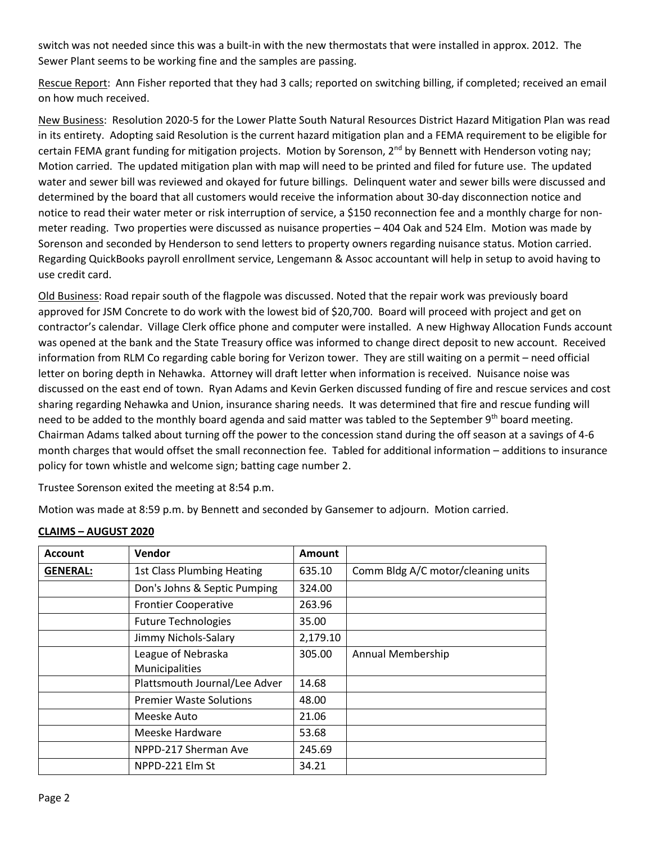switch was not needed since this was a built-in with the new thermostats that were installed in approx. 2012. The Sewer Plant seems to be working fine and the samples are passing.

Rescue Report: Ann Fisher reported that they had 3 calls; reported on switching billing, if completed; received an email on how much received.

New Business: Resolution 2020-5 for the Lower Platte South Natural Resources District Hazard Mitigation Plan was read in its entirety. Adopting said Resolution is the current hazard mitigation plan and a FEMA requirement to be eligible for certain FEMA grant funding for mitigation projects. Motion by Sorenson, 2<sup>nd</sup> by Bennett with Henderson voting nay; Motion carried. The updated mitigation plan with map will need to be printed and filed for future use. The updated water and sewer bill was reviewed and okayed for future billings. Delinquent water and sewer bills were discussed and determined by the board that all customers would receive the information about 30-day disconnection notice and notice to read their water meter or risk interruption of service, a \$150 reconnection fee and a monthly charge for nonmeter reading. Two properties were discussed as nuisance properties – 404 Oak and 524 Elm. Motion was made by Sorenson and seconded by Henderson to send letters to property owners regarding nuisance status. Motion carried. Regarding QuickBooks payroll enrollment service, Lengemann & Assoc accountant will help in setup to avoid having to use credit card.

Old Business: Road repair south of the flagpole was discussed. Noted that the repair work was previously board approved for JSM Concrete to do work with the lowest bid of \$20,700. Board will proceed with project and get on contractor's calendar. Village Clerk office phone and computer were installed. A new Highway Allocation Funds account was opened at the bank and the State Treasury office was informed to change direct deposit to new account. Received information from RLM Co regarding cable boring for Verizon tower. They are still waiting on a permit – need official letter on boring depth in Nehawka. Attorney will draft letter when information is received. Nuisance noise was discussed on the east end of town. Ryan Adams and Kevin Gerken discussed funding of fire and rescue services and cost sharing regarding Nehawka and Union, insurance sharing needs. It was determined that fire and rescue funding will need to be added to the monthly board agenda and said matter was tabled to the September  $9<sup>th</sup>$  board meeting. Chairman Adams talked about turning off the power to the concession stand during the off season at a savings of 4-6 month charges that would offset the small reconnection fee. Tabled for additional information – additions to insurance policy for town whistle and welcome sign; batting cage number 2.

Trustee Sorenson exited the meeting at 8:54 p.m.

Motion was made at 8:59 p.m. by Bennett and seconded by Gansemer to adjourn. Motion carried.

| <b>Account</b>  | Vendor                            | <b>Amount</b> |                                    |
|-----------------|-----------------------------------|---------------|------------------------------------|
| <b>GENERAL:</b> | <b>1st Class Plumbing Heating</b> | 635.10        | Comm Bldg A/C motor/cleaning units |
|                 | Don's Johns & Septic Pumping      | 324.00        |                                    |
|                 | <b>Frontier Cooperative</b>       | 263.96        |                                    |
|                 | <b>Future Technologies</b>        | 35.00         |                                    |
|                 | Jimmy Nichols-Salary              | 2,179.10      |                                    |
|                 | League of Nebraska                | 305.00        | Annual Membership                  |
|                 | Municipalities                    |               |                                    |
|                 | Plattsmouth Journal/Lee Adver     | 14.68         |                                    |
|                 | <b>Premier Waste Solutions</b>    | 48.00         |                                    |
|                 | Meeske Auto                       | 21.06         |                                    |
|                 | Meeske Hardware                   | 53.68         |                                    |
|                 | NPPD-217 Sherman Ave              | 245.69        |                                    |
|                 | NPPD-221 Elm St                   | 34.21         |                                    |

## **CLAIMS – AUGUST 2020**